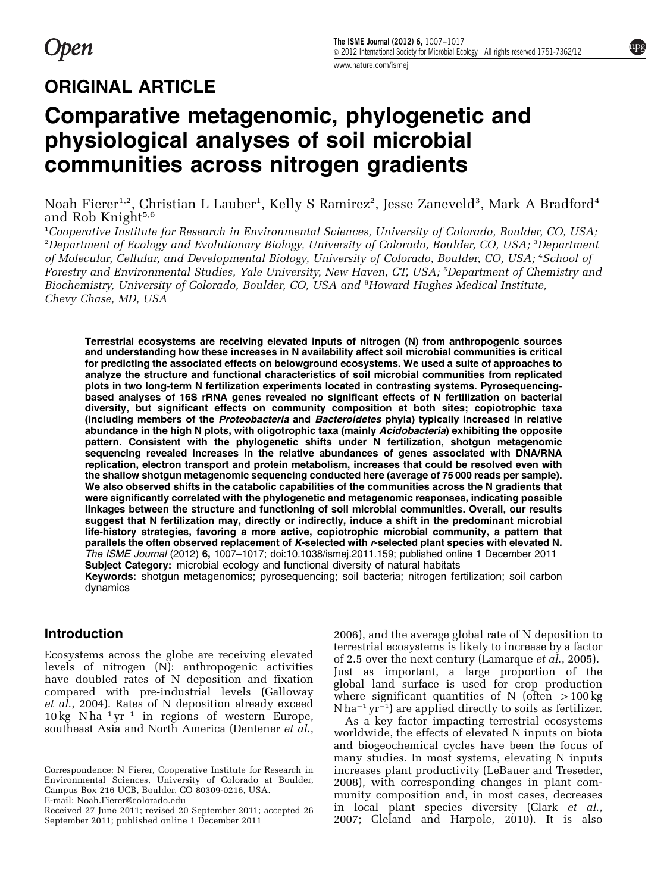## ORIGINAL ARTICLE

# Comparative metagenomic, phylogenetic and physiological analyses of soil microbial communities across nitrogen gradients

Noah Fierer<sup>1,2</sup>, Christian L Lauber<sup>1</sup>, Kelly S Ramirez<sup>2</sup>, Jesse Zaneveld<sup>3</sup>, Mark A Bradford<sup>4</sup> and Rob Knight $5,6$ 

<sup>1</sup>Cooperative Institute for Research in Environmental Sciences, University of Colorado, Boulder, CO, USA, <sup>2</sup>Department of Ecology and Evolutionary Biology, University of Colorado, Boulder, CO, USA; <sup>3</sup>Department of Molecular, Cellular, and Developmental Biology, University of Colorado, Boulder, CO, USA; <sup>4</sup>School of Forestry and Environmental Studies, Yale University, New Haven, CT, USA; <sup>5</sup> Department of Chemistry and Biochemistry, University of Colorado, Boulder, CO, USA and <sup>6</sup>Howard Hughes Medical Institute, Chevy Chase, MD, USA

Terrestrial ecosystems are receiving elevated inputs of nitrogen (N) from anthropogenic sources and understanding how these increases in N availability affect soil microbial communities is critical for predicting the associated effects on belowground ecosystems. We used a suite of approaches to analyze the structure and functional characteristics of soil microbial communities from replicated plots in two long-term N fertilization experiments located in contrasting systems. Pyrosequencingbased analyses of 16S rRNA genes revealed no significant effects of N fertilization on bacterial diversity, but significant effects on community composition at both sites; copiotrophic taxa (including members of the Proteobacteria and Bacteroidetes phyla) typically increased in relative abundance in the high N plots, with oligotrophic taxa (mainly Acidobacteria) exhibiting the opposite pattern. Consistent with the phylogenetic shifts under N fertilization, shotgun metagenomic sequencing revealed increases in the relative abundances of genes associated with DNA/RNA replication, electron transport and protein metabolism, increases that could be resolved even with the shallow shotgun metagenomic sequencing conducted here (average of 75 000 reads per sample). We also observed shifts in the catabolic capabilities of the communities across the N gradients that were significantly correlated with the phylogenetic and metagenomic responses, indicating possible linkages between the structure and functioning of soil microbial communities. Overall, our results suggest that N fertilization may, directly or indirectly, induce a shift in the predominant microbial life-history strategies, favoring a more active, copiotrophic microbial community, a pattern that parallels the often observed replacement of K-selected with r-selected plant species with elevated N. The ISME Journal (2012) 6, 1007–1017; doi:[10.1038/ismej.2011.159;](http://dx.doi.org/10.1038/ismej.2011.159) published online 1 December 2011 Subject Category: microbial ecology and functional diversity of natural habitats Keywords: shotgun metagenomics; pyrosequencing; soil bacteria; nitrogen fertilization; soil carbon dynamics

#### Introduction

Ecosystems across the globe are receiving elevated levels of nitrogen (N): anthropogenic activities have doubled rates of N deposition and fixation compared with pre-industrial levels ([Galloway](#page-10-0) et  $a\overline{l}$ , 2004). Rates of N deposition already exceed  $10 \text{ kg}$  N ha<sup>-1</sup> yr<sup>-1</sup> in regions of western Europe, southeast Asia and North America [\(Dentener](#page-9-0) et al.,

[2006\)](#page-9-0), and the average global rate of N deposition to terrestrial ecosystems is likely to increase by a factor of 2.5 over the next century ([Lamarque](#page-10-0) et al., 2005). Just as important, a large proportion of the global land surface is used for crop production where significant quantities of N (often  $>100 \text{ kg}$  $N$  ha<sup>-1</sup> yr<sup>-1</sup>) are applied directly to soils as fertilizer.

As a key factor impacting terrestrial ecosystems worldwide, the effects of elevated N inputs on biota and biogeochemical cycles have been the focus of many studies. In most systems, elevating N inputs increases plant productivity ([LeBauer and Treseder,](#page-10-0) [2008\)](#page-10-0), with corresponding changes in plant community composition and, in most cases, decreases in local plant species diversity (Clark [et al](#page-9-0)., Received 27 June 2011; revised 20 September 2011; accepted 26 in local plant species diversity (Clark *et al.,* September 2011; published online 1 December 2011 is [2007; Cleland and Harpole, 2010\)](#page-9-0). It is also

Correspondence: N Fierer, Cooperative Institute for Research in Environmental Sciences, University of Colorado at Boulder, Campus Box 216 UCB, Boulder, CO 80309-0216, USA. E-mail: [Noah.Fierer@colorado.edu](mailto:Noah.Fierer@colorado.edu)

September 2011; published online 1 December 2011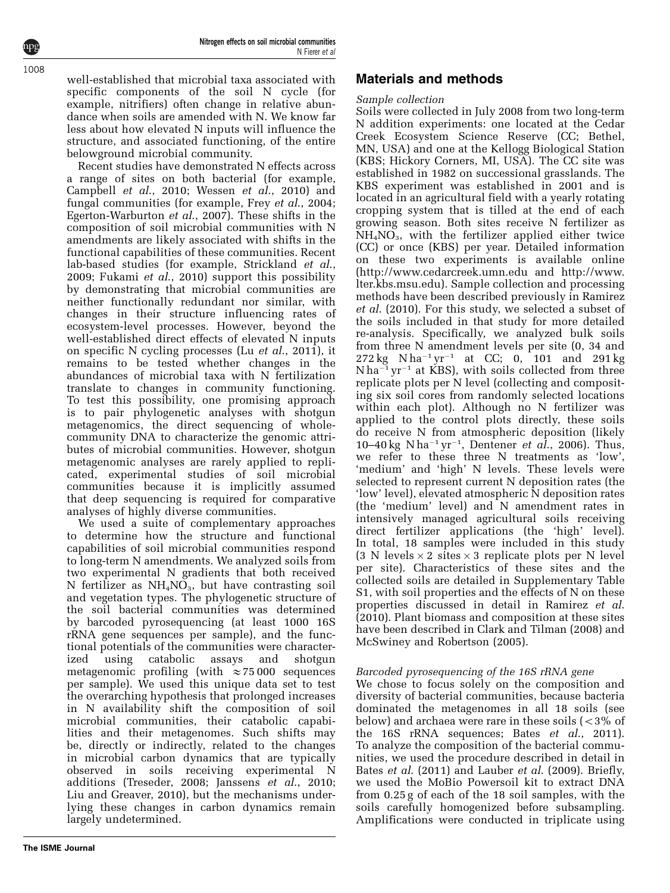well-established that microbial taxa associated with specific components of the soil N cycle (for example, nitrifiers) often change in relative abundance when soils are amended with N. We know far less about how elevated N inputs will influence the structure, and associated functioning, of the entire belowground microbial community.

Recent studies have demonstrated N effects across a range of sites on both bacterial (for example, [Campbell](#page-9-0) et al., 2010; [Wessen](#page-10-0) et al., 2010) and fungal communities (for example, Frey et al[., 2004;](#page-10-0) [Egerton-Warburton](#page-10-0) et al., 2007). These shifts in the composition of soil microbial communities with N amendments are likely associated with shifts in the functional capabilities of these communities. Recent lab-based studies (for example, [Strickland](#page-10-0) et al., [2009; Fukami](#page-10-0) et al., 2010) support this possibility by demonstrating that microbial communities are neither functionally redundant nor similar, with changes in their structure influencing rates of ecosystem-level processes. However, beyond the well-established direct effects of elevated N inputs on specific N cycling processes (Lu et al[., 2011\)](#page-10-0), it remains to be tested whether changes in the abundances of microbial taxa with N fertilization translate to changes in community functioning. To test this possibility, one promising approach is to pair phylogenetic analyses with shotgun metagenomics, the direct sequencing of wholecommunity DNA to characterize the genomic attributes of microbial communities. However, shotgun metagenomic analyses are rarely applied to replicated, experimental studies of soil microbial communities because it is implicitly assumed that deep sequencing is required for comparative analyses of highly diverse communities.

We used a suite of complementary approaches to determine how the structure and functional capabilities of soil microbial communities respond to long-term N amendments. We analyzed soils from two experimental N gradients that both received N fertilizer as  $NH<sub>4</sub>NO<sub>3</sub>$ , but have contrasting soil and vegetation types. The phylogenetic structure of the soil bacterial communities was determined by barcoded pyrosequencing (at least 1000 16S rRNA gene sequences per sample), and the functional potentials of the communities were characterized using catabolic assays and shotgun metagenomic profiling (with  $\approx$  75 000 sequences per sample). We used this unique data set to test the overarching hypothesis that prolonged increases in N availability shift the composition of soil microbial communities, their catabolic capabilities and their metagenomes. Such shifts may be, directly or indirectly, related to the changes in microbial carbon dynamics that are typically observed in soils receiving experimental N additions ([Treseder, 2008; Janssens](#page-10-0) et al., 2010; [Liu and Greaver, 2010](#page-10-0)), but the mechanisms underlying these changes in carbon dynamics remain largely undetermined.

## Materials and methods

## Sample collection

Soils were collected in July 2008 from two long-term N addition experiments: one located at the Cedar Creek Ecosystem Science Reserve (CC; Bethel, MN, USA) and one at the Kellogg Biological Station (KBS; Hickory Corners, MI, USA). The CC site was established in 1982 on successional grasslands. The KBS experiment was established in 2001 and is located in an agricultural field with a yearly rotating cropping system that is tilled at the end of each growing season. Both sites receive N fertilizer as  $NH<sub>4</sub>NO<sub>3</sub>$ , with the fertilizer applied either twice (CC) or once (KBS) per year. Detailed information on these two experiments is available online (<http://www.cedarcreek.umn.edu> and [http://www.](http://www.lter.kbs.msu.edu) [lter.kbs.msu.edu](http://www.lter.kbs.msu.edu)). Sample collection and processing methods have been described previously in [Ramirez](#page-10-0) et al[. \(2010\).](#page-10-0) For this study, we selected a subset of the soils included in that study for more detailed re-analysis. Specifically, we analyzed bulk soils from three N amendment levels per site (0, 34 and  $272 \text{ kg}$  N ha<sup>-1</sup> yr<sup>-1</sup> at CC; 0, 101 and 291 kg  $N$ ha<sup>-1</sup> yr<sup>-1</sup> at KBS), with soils collected from three replicate plots per N level (collecting and compositing six soil cores from randomly selected locations within each plot). Although no N fertilizer was applied to the control plots directly, these soils do receive N from atmospheric deposition (likely 10–40 kg N ha<sup>-1</sup> yr<sup>-1</sup>, [Dentener](#page-9-0) *et al.*, 2006). Thus, we refer to these three N treatments as 'low', 'medium' and 'high' N levels. These levels were selected to represent current N deposition rates (the 'low' level), elevated atmospheric N deposition rates (the 'medium' level) and N amendment rates in intensively managed agricultural soils receiving direct fertilizer applications (the 'high' level). In total, 18 samples were included in this study  $(3 \text{ N levels} \times 2 \text{ sites} \times 3 \text{ replicate plots per N level})$ per site). Characteristics of these sites and the collected soils are detailed in Supplementary Table S1, with soil properties and the effects of N on these properties discussed in detail in [Ramirez](#page-10-0) et al. [\(2010\)](#page-10-0). Plant biomass and composition at these sites have been described in [Clark and Tilman \(2008\)](#page-9-0) and [McSwiney and Robertson \(2005\)](#page-10-0).

## Barcoded pyrosequencing of the 16S rRNA gene

We chose to focus solely on the composition and diversity of bacterial communities, because bacteria dominated the metagenomes in all 18 soils (see below) and archaea were rare in these soils  $\zeta$  < 3% of the 16S rRNA sequences; Bates *et al.*, 2011). To analyze the composition of the bacterial communities, we used the procedure described in detail in Bates et al[. \(2011\)](#page-9-0) and Lauber et al[. \(2009\)](#page-10-0). Briefly, we used the MoBio Powersoil kit to extract DNA from 0.25 g of each of the 18 soil samples, with the soils carefully homogenized before subsampling. Amplifications were conducted in triplicate using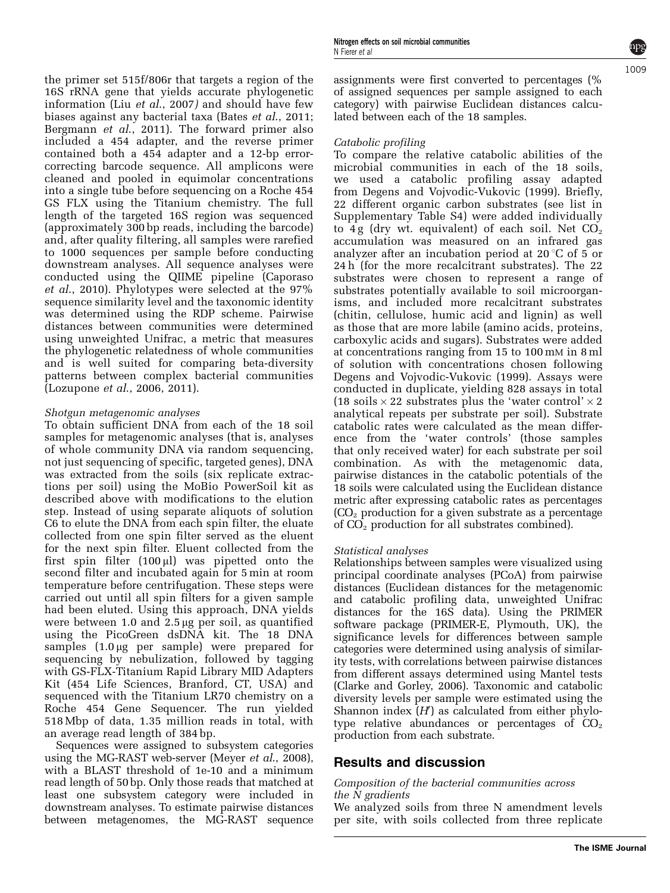$100<sub>c</sub>$ 

the primer set 515f/806r that targets a region of the 16S rRNA gene that yields accurate phylogenetic information (Liu et al[., 2007](#page-10-0)) and should have few biases against any bacterial taxa (Bates et al[., 2011;](#page-9-0) [Bergmann](#page-9-0) et al., 2011). The forward primer also included a 454 adapter, and the reverse primer contained both a 454 adapter and a 12-bp errorcorrecting barcode sequence. All amplicons were cleaned and pooled in equimolar concentrations into a single tube before sequencing on a Roche 454 GS FLX using the Titanium chemistry. The full length of the targeted 16S region was sequenced (approximately 300 bp reads, including the barcode) and, after quality filtering, all samples were rarefied to 1000 sequences per sample before conducting downstream analyses. All sequence analyses were conducted using the QIIME pipeline ([Caporaso](#page-9-0) et al[., 2010\)](#page-9-0). Phylotypes were selected at the 97% sequence similarity level and the taxonomic identity was determined using the RDP scheme. Pairwise distances between communities were determined using unweighted Unifrac, a metric that measures the phylogenetic relatedness of whole communities and is well suited for comparing beta-diversity patterns between complex bacterial communities (Lozupone et al[., 2006, 2011](#page-10-0)).

## Shotgun metagenomic analyses

To obtain sufficient DNA from each of the 18 soil samples for metagenomic analyses (that is, analyses of whole community DNA via random sequencing, not just sequencing of specific, targeted genes), DNA was extracted from the soils (six replicate extractions per soil) using the MoBio PowerSoil kit as described above with modifications to the elution step. Instead of using separate aliquots of solution C6 to elute the DNA from each spin filter, the eluate collected from one spin filter served as the eluent for the next spin filter. Eluent collected from the first spin filter  $(100 \mu l)$  was pipetted onto the second filter and incubated again for 5 min at room temperature before centrifugation. These steps were carried out until all spin filters for a given sample had been eluted. Using this approach, DNA yields were between 1.0 and 2.5 µg per soil, as quantified using the PicoGreen dsDNA kit. The 18 DNA samples  $(1.0 \mu g$  per sample) were prepared for sequencing by nebulization, followed by tagging with GS-FLX-Titanium Rapid Library MID Adapters Kit (454 Life Sciences, Branford, CT, USA) and sequenced with the Titanium LR70 chemistry on a Roche 454 Gene Sequencer. The run yielded 518 Mbp of data, 1.35 million reads in total, with an average read length of 384 bp.

Sequences were assigned to subsystem categories using the MG-RAST web-server (Meyer *et al.*, 2008), with a BLAST threshold of 1e-10 and a minimum read length of 50 bp. Only those reads that matched at least one subsystem category were included in downstream analyses. To estimate pairwise distances between metagenomes, the MG-RAST sequence assignments were first converted to percentages (% of assigned sequences per sample assigned to each category) with pairwise Euclidean distances calculated between each of the 18 samples.

## Catabolic profiling

To compare the relative catabolic abilities of the microbial communities in each of the 18 soils, we used a catabolic profiling assay adapted from [Degens and Vojvodic-Vukovic \(1999\).](#page-9-0) Briefly, 22 different organic carbon substrates (see list in Supplementary Table S4) were added individually to 4g (dry wt. equivalent) of each soil. Net  $CO<sub>2</sub>$ accumulation was measured on an infrared gas analyzer after an incubation period at  $20^{\circ}$ C of 5 or 24 h (for the more recalcitrant substrates). The 22 substrates were chosen to represent a range of substrates potentially available to soil microorganisms, and included more recalcitrant substrates (chitin, cellulose, humic acid and lignin) as well as those that are more labile (amino acids, proteins, carboxylic acids and sugars). Substrates were added at concentrations ranging from 15 to 100 mM in 8 ml of solution with concentrations chosen following [Degens and Vojvodic-Vukovic \(1999\)](#page-9-0). Assays were conducted in duplicate, yielding 828 assays in total (18 soils  $\times$  22 substrates plus the 'water control'  $\times$  2 analytical repeats per substrate per soil). Substrate catabolic rates were calculated as the mean difference from the 'water controls' (those samples that only received water) for each substrate per soil combination. As with the metagenomic data, pairwise distances in the catabolic potentials of the 18 soils were calculated using the Euclidean distance metric after expressing catabolic rates as percentages  $(CO<sub>2</sub>$  production for a given substrate as a percentage of  $CO<sub>2</sub>$  production for all substrates combined).

#### Statistical analyses

Relationships between samples were visualized using principal coordinate analyses (PCoA) from pairwise distances (Euclidean distances for the metagenomic and catabolic profiling data, unweighted Unifrac distances for the 16S data). Using the PRIMER software package (PRIMER-E, Plymouth, UK), the significance levels for differences between sample categories were determined using analysis of similarity tests, with correlations between pairwise distances from different assays determined using Mantel tests [\(Clarke and Gorley, 2006](#page-9-0)). Taxonomic and catabolic diversity levels per sample were estimated using the Shannon index  $(H)$  as calculated from either phylotype relative abundances or percentages of  $CO<sub>2</sub>$ production from each substrate.

## Results and discussion

#### Composition of the bacterial communities across the N gradients

We analyzed soils from three N amendment levels per site, with soils collected from three replicate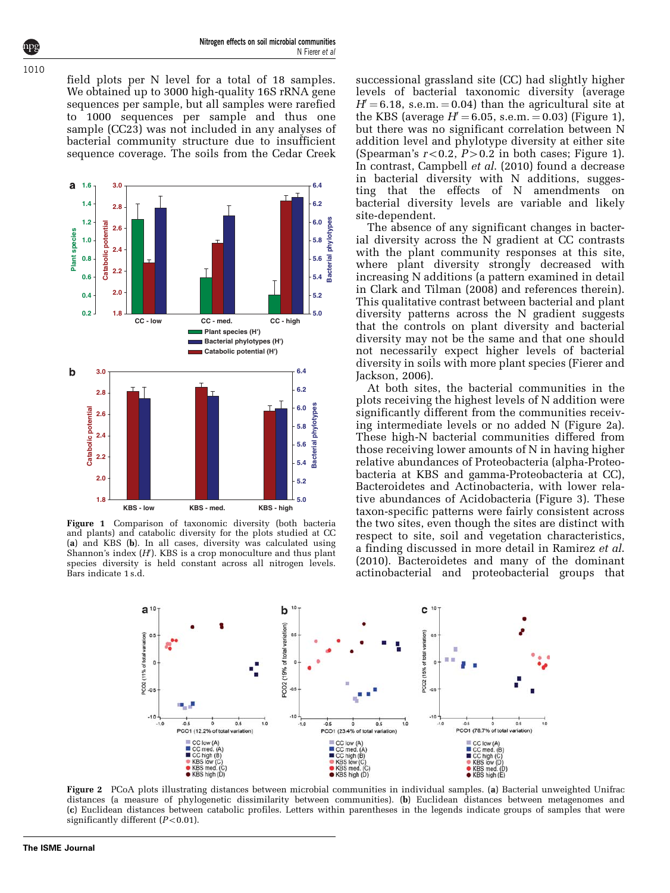<span id="page-3-0"></span>field plots per N level for a total of 18 samples. We obtained up to 3000 high-quality 16S rRNA gene sequences per sample, but all samples were rarefied to 1000 sequences per sample and thus one sample (CC23) was not included in any analyses of bacterial community structure due to insufficient sequence coverage. The soils from the Cedar Creek



Figure 1 Comparison of taxonomic diversity (both bacteria and plants) and catabolic diversity for the plots studied at CC (a) and KBS (b). In all cases, diversity was calculated using Shannon's index  $(H)$ . KBS is a crop monoculture and thus plant species diversity is held constant across all nitrogen levels. Bars indicate 1 s.d.

successional grassland site (CC) had slightly higher levels of bacterial taxonomic diversity (average  $H=6.18$ , s.e.m.  $= 0.04$ ) than the agricultural site at the KBS (average  $H' = 6.05$ , s.e.m.  $= 0.03$ ) (Figure 1), but there was no significant correlation between N addition level and phylotype diversity at either site (Spearman's  $r<0.2$ ,  $P>0.2$  in both cases; Figure 1). In contrast, [Campbell](#page-9-0) et al. (2010) found a decrease in bacterial diversity with N additions, suggesting that the effects of N amendments on bacterial diversity levels are variable and likely site-dependent.

The absence of any significant changes in bacterial diversity across the N gradient at CC contrasts with the plant community responses at this site, where plant diversity strongly decreased with increasing N additions (a pattern examined in detail in [Clark and Tilman \(2008\)](#page-9-0) and references therein). This qualitative contrast between bacterial and plant diversity patterns across the N gradient suggests that the controls on plant diversity and bacterial diversity may not be the same and that one should not necessarily expect higher levels of bacterial diversity in soils with more plant species ([Fierer and](#page-10-0) [Jackson, 2006\)](#page-10-0).

At both sites, the bacterial communities in the plots receiving the highest levels of N addition were significantly different from the communities receiving intermediate levels or no added N (Figure 2a). These high-N bacterial communities differed from those receiving lower amounts of N in having higher relative abundances of Proteobacteria (alpha-Proteobacteria at KBS and gamma-Proteobacteria at CC), Bacteroidetes and Actinobacteria, with lower relative abundances of Acidobacteria ([Figure 3](#page-4-0)). These taxon-specific patterns were fairly consistent across the two sites, even though the sites are distinct with respect to site, soil and vegetation characteristics, a finding discussed in more detail in [Ramirez](#page-10-0) et al. [\(2010\)](#page-10-0). Bacteroidetes and many of the dominant actinobacterial and proteobacterial groups that



Figure 2 PCoA plots illustrating distances between microbial communities in individual samples. (a) Bacterial unweighted Unifrac distances (a measure of phylogenetic dissimilarity between communities). (b) Euclidean distances between metagenomes and (c) Euclidean distances between catabolic profiles. Letters within parentheses in the legends indicate groups of samples that were significantly different  $(P<0.01)$ .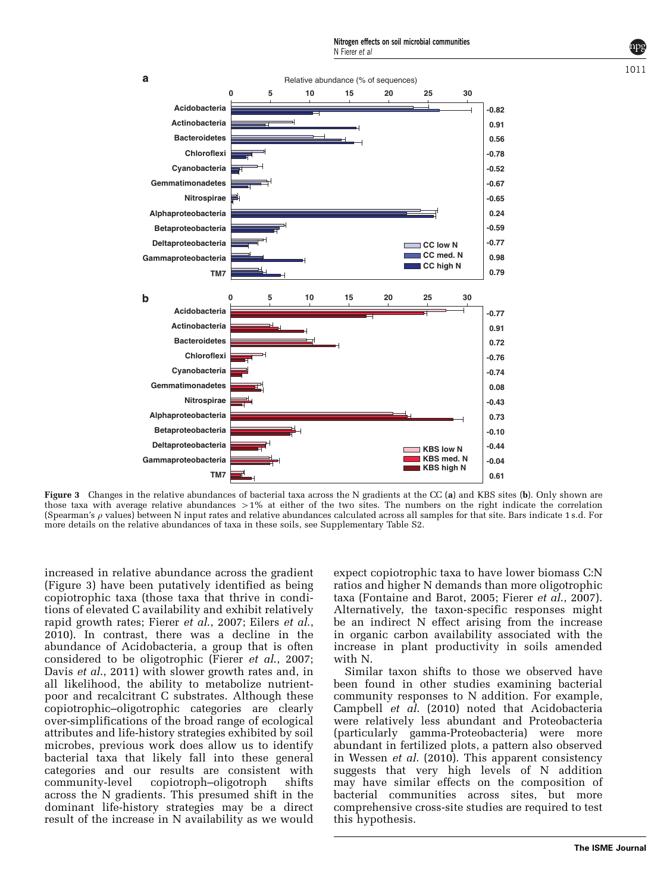$101<sup>1</sup>$ 

<span id="page-4-0"></span>

Figure 3 Changes in the relative abundances of bacterial taxa across the N gradients at the CC (a) and KBS sites (b). Only shown are those taxa with average relative abundances  $>1\%$  at either of the two sites. The numbers on the right indicate the correlation (Spearman's  $\rho$  values) between N input rates and relative abundances calculated across all samples for that site. Bars indicate 1 s.d. For more details on the relative abundances of taxa in these soils, see Supplementary Table S2.

increased in relative abundance across the gradient (Figure 3) have been putatively identified as being copiotrophic taxa (those taxa that thrive in conditions of elevated C availability and exhibit relatively rapid growth rates; Fierer *et al.*, 2007; Eilers *et al.*, [2010\)](#page-10-0). In contrast, there was a decline in the abundance of Acidobacteria, a group that is often considered to be oligotrophic (Fierer et al[., 2007;](#page-10-0) Davis *et al.*, 2011) with slower growth rates and, in all likelihood, the ability to metabolize nutrientpoor and recalcitrant C substrates. Although these copiotrophic–oligotrophic categories are clearly over-simplifications of the broad range of ecological attributes and life-history strategies exhibited by soil microbes, previous work does allow us to identify bacterial taxa that likely fall into these general categories and our results are consistent with community-level copiotroph–oligotroph shifts across the N gradients. This presumed shift in the dominant life-history strategies may be a direct result of the increase in N availability as we would

expect copiotrophic taxa to have lower biomass C:N ratios and higher N demands than more oligotrophic taxa ([Fontaine and Barot, 2005;](#page-10-0) Fierer et al[., 2007\)](#page-10-0). Alternatively, the taxon-specific responses might be an indirect N effect arising from the increase in organic carbon availability associated with the increase in plant productivity in soils amended with N.

Similar taxon shifts to those we observed have been found in other studies examining bacterial community responses to N addition. For example, [Campbell](#page-9-0) et al. (2010) noted that Acidobacteria were relatively less abundant and Proteobacteria (particularly gamma-Proteobacteria) were more abundant in fertilized plots, a pattern also observed in Wessen et al[. \(2010\).](#page-10-0) This apparent consistency suggests that very high levels of N addition may have similar effects on the composition of bacterial communities across sites, but more comprehensive cross-site studies are required to test this hypothesis.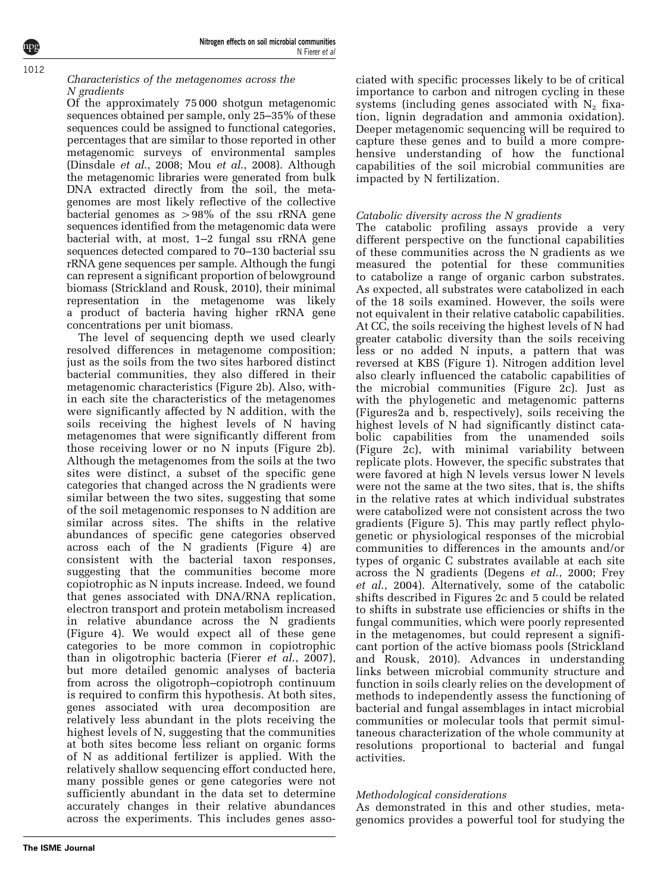**The ISME Journal**

## Characteristics of the metagenomes across the N gradients

Of the approximately 75 000 shotgun metagenomic sequences obtained per sample, only 25–35% of these sequences could be assigned to functional categories, percentages that are similar to those reported in other metagenomic surveys of environmental samples ([Dinsdale](#page-9-0) et al., 2008; Mou et al[., 2008](#page-10-0)). Although the metagenomic libraries were generated from bulk DNA extracted directly from the soil, the metagenomes are most likely reflective of the collective bacterial genomes as  $>98\%$  of the ssu rRNA gene sequences identified from the metagenomic data were bacterial with, at most, 1–2 fungal ssu rRNA gene sequences detected compared to 70–130 bacterial ssu rRNA gene sequences per sample. Although the fungi can represent a significant proportion of belowground biomass [\(Strickland and Rousk, 2010](#page-10-0)), their minimal representation in the metagenome was likely a product of bacteria having higher rRNA gene concentrations per unit biomass.

The level of sequencing depth we used clearly resolved differences in metagenome composition; just as the soils from the two sites harbored distinct bacterial communities, they also differed in their metagenomic characteristics [\(Figure 2b\)](#page-3-0). Also, within each site the characteristics of the metagenomes were significantly affected by N addition, with the soils receiving the highest levels of N having metagenomes that were significantly different from those receiving lower or no N inputs [\(Figure 2b](#page-3-0)). Although the metagenomes from the soils at the two sites were distinct, a subset of the specific gene categories that changed across the N gradients were similar between the two sites, suggesting that some of the soil metagenomic responses to N addition are similar across sites. The shifts in the relative abundances of specific gene categories observed across each of the N gradients [\(Figure 4\)](#page-6-0) are consistent with the bacterial taxon responses, suggesting that the communities become more copiotrophic as N inputs increase. Indeed, we found that genes associated with DNA/RNA replication, electron transport and protein metabolism increased in relative abundance across the N gradients ([Figure 4\)](#page-6-0). We would expect all of these gene categories to be more common in copiotrophic than in oligotrophic bacteria (Fierer et al[., 2007](#page-10-0)), but more detailed genomic analyses of bacteria from across the oligotroph–copiotroph continuum is required to confirm this hypothesis. At both sites, genes associated with urea decomposition are relatively less abundant in the plots receiving the highest levels of N, suggesting that the communities at both sites become less reliant on organic forms of N as additional fertilizer is applied. With the relatively shallow sequencing effort conducted here, many possible genes or gene categories were not sufficiently abundant in the data set to determine accurately changes in their relative abundances across the experiments. This includes genes associated with specific processes likely to be of critical importance to carbon and nitrogen cycling in these systems (including genes associated with  $N_2$  fixation, lignin degradation and ammonia oxidation). Deeper metagenomic sequencing will be required to capture these genes and to build a more comprehensive understanding of how the functional capabilities of the soil microbial communities are impacted by N fertilization.

## Catabolic diversity across the N gradients

The catabolic profiling assays provide a very different perspective on the functional capabilities of these communities across the N gradients as we measured the potential for these communities to catabolize a range of organic carbon substrates. As expected, all substrates were catabolized in each of the 18 soils examined. However, the soils were not equivalent in their relative catabolic capabilities. At CC, the soils receiving the highest levels of N had greater catabolic diversity than the soils receiving less or no added N inputs, a pattern that was reversed at KBS [\(Figure 1](#page-3-0)). Nitrogen addition level also clearly influenced the catabolic capabilities of the microbial communities [\(Figure 2c\)](#page-3-0). Just as with the phylogenetic and metagenomic patterns ([Figures2a and b,](#page-3-0) respectively), soils receiving the highest levels of N had significantly distinct catabolic capabilities from the unamended soils ([Figure 2c\)](#page-3-0), with minimal variability between replicate plots. However, the specific substrates that were favored at high N levels versus lower N levels were not the same at the two sites, that is, the shifts in the relative rates at which individual substrates were catabolized were not consistent across the two gradients ([Figure 5\)](#page-7-0). This may partly reflect phylogenetic or physiological responses of the microbial communities to differences in the amounts and/or types of organic C substrates available at each site across the N gradients (Degens et al[., 2000;](#page-9-0) [Frey](#page-10-0) et al[., 2004\)](#page-10-0). Alternatively, some of the catabolic shifts described in [Figures 2c and 5](#page-3-0) could be related to shifts in substrate use efficiencies or shifts in the fungal communities, which were poorly represented in the metagenomes, but could represent a significant portion of the active biomass pools ([Strickland](#page-10-0) [and Rousk, 2010](#page-10-0)). Advances in understanding links between microbial community structure and function in soils clearly relies on the development of methods to independently assess the functioning of bacterial and fungal assemblages in intact microbial communities or molecular tools that permit simultaneous characterization of the whole community at resolutions proportional to bacterial and fungal activities.

## Methodological considerations

As demonstrated in this and other studies, metagenomics provides a powerful tool for studying the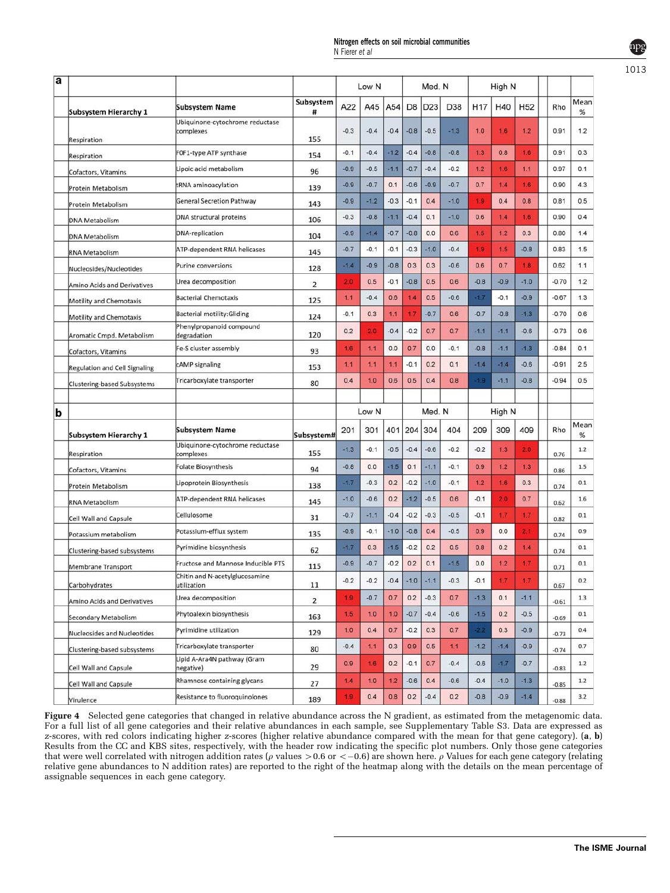<span id="page-6-0"></span>

| a |                                |                                               |                | Low N           |        |        | Med. N         |        |        | High N          |        |                 |         |           |
|---|--------------------------------|-----------------------------------------------|----------------|-----------------|--------|--------|----------------|--------|--------|-----------------|--------|-----------------|---------|-----------|
|   | <b>Subsystem Hierarchy 1</b>   | <b>Subsystem Name</b>                         | Subsystem<br># | A22             | A45    | A54    | D <sub>8</sub> | D23    | D38    | H <sub>17</sub> | H40    | H <sub>52</sub> | Rho     | Mear<br>% |
|   | Respiration                    | Ubiquinone-cytochrome reductase<br>complexes  | 155            | $-0.3$          | $-0.4$ | $-0.4$ | $-0.8$         | $-0.5$ | $-1.3$ | 1.0             | 1.6    | 1.2             | 0.91    | 1.2       |
|   | Respiration                    | FOF1-type ATP synthase                        | 154            | $-0.1$          | $-0.4$ | $-1.2$ | $-0.4$         | $-0.8$ | $-0.8$ | 1.3             | 0.8    | 1.6             | 0.91    | 0.3       |
|   | Cofactors, Vitamins            | Lipoic acid metabolism                        | 96             | $-0.9$          | $-0.5$ | $-1.1$ | $-0.7$         | $-0.4$ | $-0.2$ | 1.2             | 1.6    | 1.1             | 0.97    | 0.1       |
|   | Protein Metabolism             | tRNA aminoacylation                           | 139            | $-0.9$          | $-0.7$ | 0.1    | $-0.6$         | $-0.9$ | $-0.7$ | 0.7             | 1.4    | 1.6             | 0.90    | 4.3       |
|   | Protein Metabolism             | <b>General Secretion Pathway</b>              | 143            | $-0.9$          | $-1.2$ | $-0.3$ | $-0.1$         | 0.4    | $-1.0$ | 1.9             | 0.4    | 0.8             | 0.81    | 0.5       |
|   | <b>DNA Metabolism</b>          | <b>DNA</b> structural proteins                | 106            | $-0.3$          | $-0.8$ | $-1.1$ | $-0.4$         | 0.1    | $-1.0$ | 0.6             | 1.4    | 1.6             | 0.90    | 0.4       |
|   | <b>DNA Metabolism</b>          | <b>DNA-replication</b>                        | 104            | $-0.9$          | $-1.4$ | $-0.7$ | $-0.8$         | 0.0    | 0.6    | 1.5             | 1.2    | 0.3             | 0.80    | 1.4       |
|   | <b>RNA Metabolism</b>          | ATP-dependent RNA helicases                   | 145            | $-0.7$          | $-0.1$ | $-0.1$ | $-0.3$         | $-1.0$ | $-0.4$ | 1.9             | 1.5    | $-0.8$          | 0.83    | 1.5       |
|   | Nucleosides/Nucleotides        | <b>Purine conversions</b>                     | 128            | $-1.4$          | $-0.9$ | $-0.8$ | 0.3            | 0.3    | $-0.6$ | 0.6             | 0.7    | 1.8             | 0.62    | 1.1       |
|   | Amino Acids and Derivatives    | Urea decomposition                            | 2              | 20              | 0.5    | $-0.1$ | $-0.8$         | 0.5    | 0.6    | $-0.8$          | $-0.9$ | $-1.0$          | $-0.70$ | 1.2       |
|   | Motility and Chemotaxis        | <b>Bacterial Chemotaxis</b>                   | 125            | 1.1             | $-0.4$ | 0.6    | 1.4            | 0.5    | $-0.6$ | $-1.7$          | $-0.1$ | $-0.9$          | $-0.67$ | 1.3       |
|   | <b>Motility and Chemotaxis</b> | <b>Bacterial motility: Gliding</b>            | 124            | $-0.1$          | 0.3    | 1.1    | 1.7            | $-0.7$ | 0.6    | $-0.7$          | $-0.8$ | $-1.3$          | $-0.70$ | 0.6       |
|   | Aromatic Cmpd. Metabolism      | Phenylpropanoid compound<br>degradation       | 120            | 0.2             | 20     | $-0.4$ | $-0.2$         | 0.7    | 0.7    | $-1.1$          | $-1.1$ | $-0.6$          | $-0.73$ | 0.6       |
|   | Cofactors, Vitamins            | Fe-S cluster assembly                         | 93             | 1.6             | 1.1    | 0.0    | 0.7            | 0.0    | $-0.1$ | $-0.8$          | $-1.1$ | $-1.3$          | $-0.84$ | 0.1       |
|   | Regulation and Cell Signaling  | cAMP signaling                                | 153            | 1.1             | 1.1    | 1.1    | $-0.1$         | 0.2    | 0.1    | $-1.4$          | $-1.4$ | $-0.6$          | $-0.91$ | 2.5       |
|   | Clustering-based Subsystems    | Tricarboxylate transporter                    | 80             | 0.4             | 1.0    | 0.6    | 0.5            | 0.4    | 0.8    | 1.9             | $-1.1$ | $-0.8$          | $-0.94$ | 0.5       |
|   |                                |                                               |                |                 |        |        |                |        |        |                 |        |                 |         |           |
| b |                                |                                               |                | Med. N<br>Low N |        |        | High N         |        |        |                 |        |                 |         |           |
|   | <b>Subsystem Hierarchy 1</b>   | <b>Subsystem Name</b>                         | Subsystem#     | 201             | 301    | 401    | 204            | 304    | 404    | 209             | 309    | 409             | Rho     | Mear<br>% |
|   | Respiration                    | Ubiquinone-cytochrome reductase<br>complexes  | 155            | $-1.3$          | $-0.1$ | $-0.5$ | $-0.4$         | $-0.6$ | $-0.2$ | $-0.2$          | 1.3    | 2.0             | 0.76    | 1.2       |
|   | Cofactors, Vitamins            | <b>Folate Biosynthesis</b>                    | 94             | $-0.8$          | 0.0    | $-1.5$ | 0.1            | $-1.1$ | $-0.1$ | 0.9             | 1.2    | 1.3             | 0.86    | 1.5       |
|   | Protein Metabolism             | Lipoprotein Biosynthesis                      | 138            | $-1.7$          | $-0.3$ | 0.2    | $-0.2$         | $-1.0$ | $-0.1$ | 1.2             | 1.6    | 0.3             | 0.74    | 0.1       |
|   | <b>RNA Metabolism</b>          | ATP-dependent RNA helicases                   | 145            | $-1.0$          | $-0.6$ | 0.2    | $-1.2$         | $-0.5$ | 0.6    | $-0.1$          | 2.0    | 0.7             | 0.62    | 1.6       |
|   | Cell Wall and Capsule          | Cellulosome                                   | 31             | $-0.7$          | $-1.1$ | $-0.4$ | $-0.2$         | $-0.3$ | $-0.5$ | $-0.1$          | 1.7    | 1.7             | 0.82    | 0.1       |
|   | Potassium metabolism           | Potassium-efflux system                       | 135            | $-0.9$          | $-0.1$ | $-1.0$ | $-0.8$         | 0.4    | $-0.5$ | 0.9             | 0.0    | 2.1             | 0.74    | 0.9       |
|   | Clustering-based subsystems    | Pyrimidine biosynthesis                       | 62             | $-17$           | 0.3    | $-1.5$ | $-0.2$         | 0.2    | 0.5    | 0.8             | 0.2    | 1.4             | 0.74    | 0.1       |
|   | Membrane Transport             | Fructose and Mannose Inducible PTS            | 115            | $-0.9$          | $-0.7$ | $-0.2$ | 0.2            | 0.1    | $-1.5$ | 0.0             | 1.2    | 1.7             | 0.71    | 0.1       |
|   | Carbohydrates                  | Chitin and N-acetylglucosamine<br>utilization | 11             | $-0.2$          | $-0.2$ | $-0.4$ | $-1.0$         | $-1.1$ | $-0.3$ | $-0.1$          | 1.7    | 1.7             | 0.67    | 0.2       |
|   | Amino Acids and Derivatives    | Urea decomposition                            | $\overline{2}$ | 1.9             | $-0.7$ | 0.7    | 0.2            | $-0.3$ | 0.7    | $-1.3$          | 0.1    | $-1.1$          | $-0.61$ | 1.3       |
|   | Secondary Metabolism           | Phytoalexin biosynthesis                      | 163            | 1.5             | 1.0    | 1.0    | $-0.7$         | $-0.4$ | $-0.6$ | $-1.5$          | 0.2    | $-0.5$          | $-0.69$ | 0.1       |
|   | Nucleosides and Nucleotides    | Pyrimidine utilization                        | 129            | 1.0             | 0.4    | 0.7    | $-0.2$         | 0.3    | 0.7    | 22              | 0.3    | $-0.9$          | $-0.73$ | 0.4       |
|   | Clustering-based subsystems    | Tricarboxylate transporter                    | 80             | $-0.4$          | 1.1    | 0.3    | 0.9            | 0.5    | 1.1    | $-1.2$          | $-1.4$ | $-0.9$          | $-0.74$ | 0.7       |
|   | Cell Wall and Capsule          | Lipid A-Ara4N pathway (Gram<br>negative)      | 29             | 0.9             | 1.6    | 0.2    | $-0.1$         | 0.7    | $-0.4$ | $-0.6$          | $-1.7$ | $-0.7$          | $-0.83$ | $1.2$     |
|   | Cell Wall and Capsule          | Rhamnose containing glycans                   | 27             | 1.4             | 1.0    | 1.2    | $-0.6$         | 0.4    | $-0.6$ | $-0.4$          | $-1.0$ | $-1.3$          | $-0.85$ | 1.2       |
|   | Virulence                      | Resistance to fluoroquinolones                | 189            | 1.9             | 0.4    | 0.8    | 0.2            | $-0.4$ | 0.2    | $-0.8$          | $-0.9$ | $-1.4$          | $-0.88$ | 3.2       |
|   |                                |                                               |                |                 |        |        |                |        |        |                 |        |                 |         |           |

Figure 4 Selected gene categories that changed in relative abundance across the N gradient, as estimated from the metagenomic data. For a full list of all gene categories and their relative abundances in each sample, see Supplementary Table S3. Data are expressed as z-scores, with red colors indicating higher z-scores (higher relative abundance compared with the mean for that gene category). (a, b) Results from the CC and KBS sites, respectively, with the header row indicating the specific plot numbers. Only those gene categories that were well correlated with nitrogen addition rates ( $\rho$  values  $>$  0.6 or  $<-$  0.6) are shown here.  $\rho$  Values for each gene category (relating relative gene abundances to N addition rates) are reported to the right of the heatmap along with the details on the mean percentage of assignable sequences in each gene category.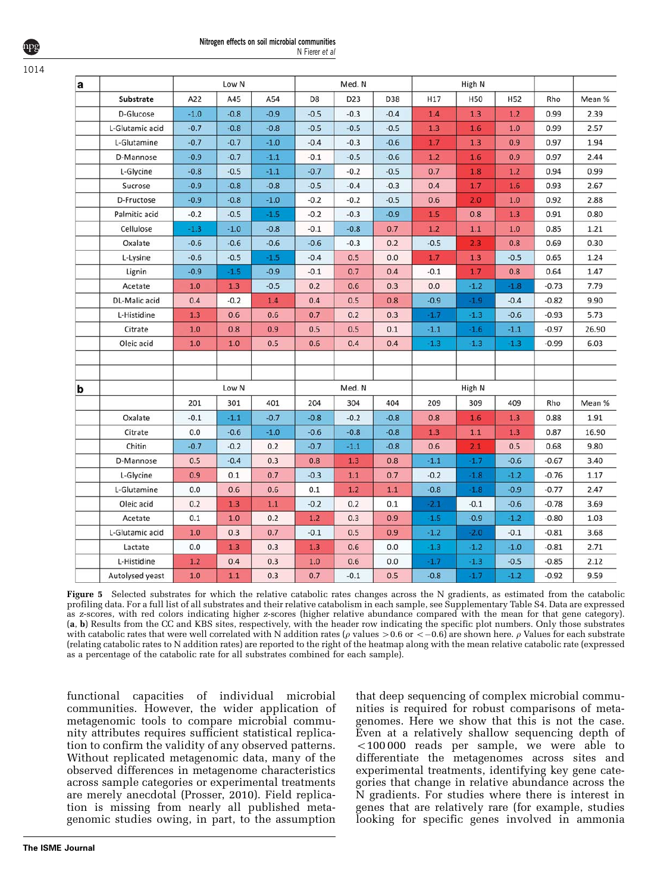#### Nitrogen effects on soil microbial communities N Fierer et al

<span id="page-7-0"></span>1014

| a |                  |        | Low N  |        | Med. N         |            |         |                          | High N |        |              |        |  |
|---|------------------|--------|--------|--------|----------------|------------|---------|--------------------------|--------|--------|--------------|--------|--|
|   | <b>Substrate</b> | A22    | A45    | A54    | D <sub>8</sub> | D23        | D38     | H17<br>H50<br><b>H52</b> |        | Rho    | Mean %       |        |  |
|   | D-Glucose        | $-1.0$ | $-0.8$ | $-0.9$ | $-0.5$         | $-0.3$     | $-0.4$  | 1.4                      | 1.3    | 1.2    | 0.99         | 2.39   |  |
|   | L-Glutamic acid  | $-0.7$ | $-0.8$ | $-0.8$ | $-0.5$         | $-0.5$     | $-0.5$  | 1.3                      | 1.6    | 1.0    | 0.99         | 2.57   |  |
|   | L-Glutamine      | $-0.7$ | $-0.7$ | $-1.0$ | $-0.4$         | $-0.3$     | $-0.6$  | 1.7                      | 1.3    | 0.9    | 0.97         | 1.94   |  |
|   | D-Mannose        | $-0.9$ | $-0.7$ | $-1.1$ | $-0.1$         | $-0.5$     | $-0.6$  | 1.2                      | 1.6    | 0.9    | 0.97         | 2.44   |  |
|   | L-Glycine        | $-0.8$ | $-0.5$ | $-1.1$ | $-0.7$         | $-0.2$     | $-0.5$  | 0.7                      | 1.8    | 1.2    | 0.94         | 0.99   |  |
|   | Sucrose          | $-0.9$ | $-0.8$ | $-0.8$ | $-0.5$         | $-0.4$     | $-0.3$  | 1.7<br>0.4               |        | 1.6    | 0.93         | 2.67   |  |
|   | D-Fructose       | $-0.9$ | $-0.8$ | $-1.0$ | $-0.2$         | $-0.2$     | $-0.5$  | 0.6                      | 2.0    | 1.0    | 0.92         | 2.88   |  |
|   | Palmitic acid    | $-0.2$ | $-0.5$ | $-1.5$ | $-0.2$         | $-0.3$     | $-0.9$  | 1.5                      | 0.8    | 1.3    | 0.91         | 0.80   |  |
|   | Cellulose        | $-1.3$ | $-1.0$ | $-0.8$ | $-0.1$         | $-0.8$     | 0.7     | 1.2                      | 1.1    | 1.0    | 0.85         | 1.21   |  |
|   | Oxalate          | $-0.6$ | $-0.6$ | $-0.6$ | $-0.6$         | $-0.3$     | 0.2     | $-0.5$                   | 2.3    | 0.8    | 0.69<br>0.30 |        |  |
|   | L-Lysine         | $-0.6$ | $-0.5$ | $-1.5$ | $-0.4$         | 0.5        | 0.0     | 1.7                      | 1.3    | $-0.5$ | 0.65         | 1.24   |  |
|   | Lignin           | $-0.9$ | $-1.5$ | $-0.9$ | $-0.1$         | 0.7        | 0.4     | $-0.1$                   | 1.7    | 0.8    | 0.64         | 1.47   |  |
|   | Acetate          | 1.0    | 1.3    | $-0.5$ | 0.2            | 0.6        | 0.3     | 0.0                      | $-1.2$ | $-1.8$ | $-0.73$      | 7.79   |  |
|   | DL-Malic acid    | 0.4    | $-0.2$ | 1.4    | 0.4            | 0.5        | 0.8     | $-0.9$<br>$-1.9$         |        | $-0.4$ | $-0.82$      | 9.90   |  |
|   | L-Histidine      | 1.3    | 0.6    | 0.6    | 0.7            | 0.2        | 0.3     | $-1.7$                   | $-1.3$ | $-0.6$ | $-0.93$      | 5.73   |  |
|   | Citrate          | 1.0    | 0.8    | 0.9    | 0.5            | 0.5        | 0.1     | $-1.1$                   | $-1.6$ | $-1.1$ | $-0.97$      | 26.90  |  |
|   | Oleic acid       | 1.0    | 1.0    | 0.5    | 0.6            | 0.4        | 0.4     | $-1.3$                   | $-1.3$ | $-1.3$ | $-0.99$      | 6.03   |  |
|   |                  |        |        |        |                |            |         |                          |        |        |              |        |  |
|   |                  |        |        |        |                |            |         |                          |        |        |              |        |  |
| b |                  |        | Low N  |        | Med. N         |            | High N  |                          |        |        |              |        |  |
|   |                  | 201    | 301    | 401    | 204            | 304        | 404     | 209                      | 309    | 409    | Rho          | Mean % |  |
|   | Oxalate          | $-0.1$ | $-1.1$ | $-0.7$ | $-0.8$         | $-0.2$     | $-0.8$  | 0.8                      | 1.6    | 1.3    | 0.88         | 1.91   |  |
|   | Citrate          | 0.0    | $-0.6$ | $-1.0$ | $-0.6$         | $-0.8$     | $-0.8$  | 1.3                      | 1.1    | 1.3    | 0.87         | 16.90  |  |
|   | Chitin           | $-0.7$ | $-0.2$ | 0.2    | $-0.7$         | $-1.1$     | $-0.8$  | 0.6                      | 2.1    | 0.5    | 0.68         | 9.80   |  |
|   | D-Mannose        | 0.5    | $-0.4$ | 0.3    | 0.8            | 1.3        | 0.8     | $-1.1$                   | $-1.7$ | $-0.6$ | $-0.67$      | 3.40   |  |
|   | L-Glycine        | 0.9    | 0.1    | 0.7    | $-0.3$         | 1.1        | 0.7     | $-0.2$                   | $-1.8$ | $-1.2$ | $-0.76$      | 1.17   |  |
|   | L-Glutamine      | 0.0    | 0.6    | 0.6    | 0.1            | 1.2        | $1.1\,$ | $-0.8$                   | $-1.8$ | $-0.9$ | $-0.77$      | 2.47   |  |
|   | Oleic acid       | 0.2    | 1.3    | 1.1    | $-0.2$         | 0.2        | 0.1     | $-2.1$                   | $-0.1$ | $-0.6$ | $-0.78$      | 3.69   |  |
|   | Acetate          | 0.1    | 1.0    | 0.2    | 1.2            | 0.3<br>0.9 |         | $-1.5$                   | $-0.9$ | $-1.2$ | $-0.80$      | 1.03   |  |
|   | L-Glutamic acid  | 1.0    | 0.3    | 0.7    | $-0.1$         | 0.5        | 0.9     | $-1.2$                   | $-2.0$ | $-0.1$ | $-0.81$      | 3.68   |  |
|   | Lactate          | 0.0    | 1.3    | 0.3    | 1.3            | 0.6        | 0.0     | $-1.3$                   | $-1.2$ | $-1.0$ | $-0.81$      | 2.71   |  |
|   | L-Histidine      | 1.2    | 0.4    | 0.3    | 1.0            | 0.6        | 0.0     | $-1.7$                   | $-1.3$ | $-0.5$ | $-0.85$      | 2.12   |  |
|   | Autolysed yeast  | 1.0    | 1.1    | 0.3    | 0.7            | $-0.1$     | 0.5     | $-0.8$                   | $-1.7$ | $-1.2$ | $-0.92$      | 9.59   |  |

Figure 5 Selected substrates for which the relative catabolic rates changes across the N gradients, as estimated from the catabolic profiling data. For a full list of all substrates and their relative catabolism in each sample, see Supplementary Table S4. Data are expressed as z-scores, with red colors indicating higher z-scores (higher relative abundance compared with the mean for that gene category). (a, b) Results from the CC and KBS sites, respectively, with the header row indicating the specific plot numbers. Only those substrates with catabolic rates that were well correlated with N addition rates ( $\rho$  values  $>$  0.6 or  $<-$  0.6) are shown here.  $\rho$  Values for each substrate (relating catabolic rates to N addition rates) are reported to the right of the heatmap along with the mean relative catabolic rate (expressed as a percentage of the catabolic rate for all substrates combined for each sample).

functional capacities of individual microbial communities. However, the wider application of metagenomic tools to compare microbial community attributes requires sufficient statistical replication to confirm the validity of any observed patterns. Without replicated metagenomic data, many of the observed differences in metagenome characteristics across sample categories or experimental treatments are merely anecdotal [\(Prosser, 2010\)](#page-10-0). Field replication is missing from nearly all published metagenomic studies owing, in part, to the assumption that deep sequencing of complex microbial communities is required for robust comparisons of metagenomes. Here we show that this is not the case. Even at a relatively shallow sequencing depth of  $100000$  reads per sample, we were able to differentiate the metagenomes across sites and experimental treatments, identifying key gene categories that change in relative abundance across the N gradients. For studies where there is interest in genes that are relatively rare (for example, studies looking for specific genes involved in ammonia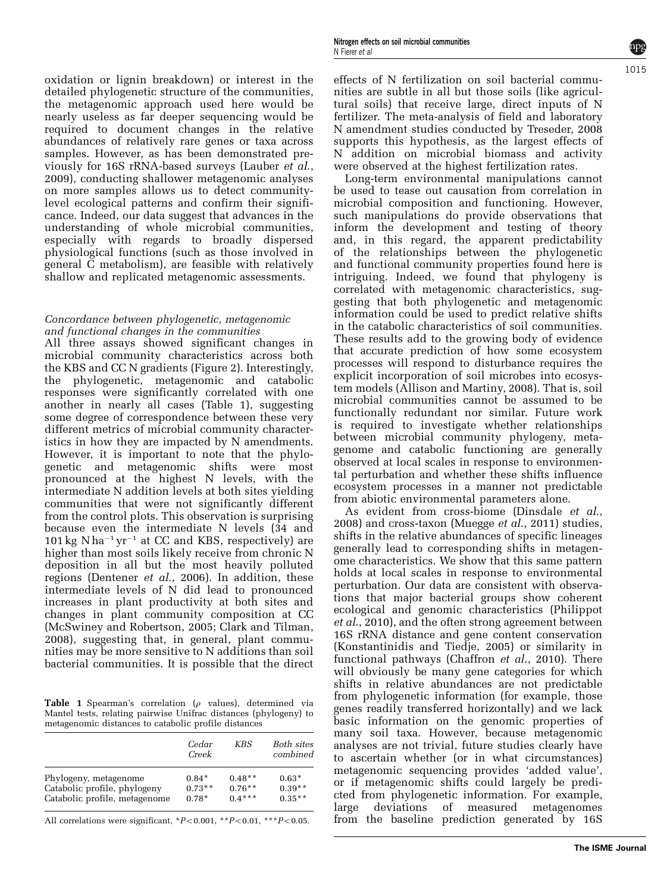oxidation or lignin breakdown) or interest in the detailed phylogenetic structure of the communities, the metagenomic approach used here would be nearly useless as far deeper sequencing would be required to document changes in the relative abundances of relatively rare genes or taxa across samples. However, as has been demonstrated previously for 16S rRNA-based surveys ([Lauber](#page-10-0) et al., [2009\)](#page-10-0), conducting shallower metagenomic analyses on more samples allows us to detect communitylevel ecological patterns and confirm their significance. Indeed, our data suggest that advances in the understanding of whole microbial communities, especially with regards to broadly dispersed physiological functions (such as those involved in general C metabolism), are feasible with relatively shallow and replicated metagenomic assessments.

## Concordance between phylogenetic, metagenomic and functional changes in the communities

All three assays showed significant changes in microbial community characteristics across both the KBS and CC N gradients ([Figure 2](#page-3-0)). Interestingly, the phylogenetic, metagenomic and catabolic responses were significantly correlated with one another in nearly all cases (Table 1), suggesting some degree of correspondence between these very different metrics of microbial community characteristics in how they are impacted by N amendments. However, it is important to note that the phylogenetic and metagenomic shifts were most pronounced at the highest N levels, with the intermediate N addition levels at both sites yielding communities that were not significantly different from the control plots. This observation is surprising because even the intermediate N levels  $(34 \text{ and } 5)$  $101 \text{ kg} \text{ N} \text{ ha}^{-1} \text{ yr}^{-1}$  at CC and KBS, respectively) are higher than most soils likely receive from chronic N deposition in all but the most heavily polluted regions [\(Dentener](#page-9-0) et al., 2006). In addition, these intermediate levels of N did lead to pronounced increases in plant productivity at both sites and changes in plant community composition at CC [\(McSwiney and Robertson, 2005](#page-10-0); [Clark and Tilman,](#page-9-0) [2008\)](#page-9-0), suggesting that, in general, plant communities may be more sensitive to N additions than soil bacterial communities. It is possible that the direct

Table 1 Spearman's correlation ( $\rho$  values), determined via Mantel tests, relating pairwise Unifrac distances (phylogeny) to metagenomic distances to catabolic profile distances

|                               | Cedar<br>Creek | KBS      | Both sites<br>combined |
|-------------------------------|----------------|----------|------------------------|
| Phylogeny, metagenome         | $0.84*$        | $0.48**$ | $0.63*$                |
| Catabolic profile, phylogeny  | $0.73**$       | $0.76**$ | $0.39**$               |
| Catabolic profile, metagenome | $0.78*$        | $0.4***$ | $0.35**$               |

All correlations were significant,  $*P<0.001$ ,  $*P<0.01$ ,  $**P<0.05$ .

Long-term environmental manipulations cannot be used to tease out causation from correlation in microbial composition and functioning. However, such manipulations do provide observations that inform the development and testing of theory and, in this regard, the apparent predictability of the relationships between the phylogenetic and functional community properties found here is intriguing. Indeed, we found that phylogeny is correlated with metagenomic characteristics, suggesting that both phylogenetic and metagenomic information could be used to predict relative shifts in the catabolic characteristics of soil communities. These results add to the growing body of evidence that accurate prediction of how some ecosystem processes will respond to disturbance requires the explicit incorporation of soil microbes into ecosystem models [\(Allison and Martiny, 2008](#page-9-0)). That is, soil microbial communities cannot be assumed to be functionally redundant nor similar. Future work is required to investigate whether relationships between microbial community phylogeny, metagenome and catabolic functioning are generally observed at local scales in response to environmental perturbation and whether these shifts influence ecosystem processes in a manner not predictable from abiotic environmental parameters alone.

As evident from cross-biome [\(Dinsdale](#page-9-0) *et al.*, [2008\)](#page-9-0) and cross-taxon [\(Muegge](#page-10-0) et al., 2011) studies, shifts in the relative abundances of specific lineages generally lead to corresponding shifts in metagenome characteristics. We show that this same pattern holds at local scales in response to environmental perturbation. Our data are consistent with observations that major bacterial groups show coherent ecological and genomic characteristics [\(Philippot](#page-10-0) et al[., 2010](#page-10-0)), and the often strong agreement between 16S rRNA distance and gene content conservation [\(Konstantinidis and Tiedje, 2005\)](#page-10-0) or similarity in functional pathways [\(Chaffron](#page-9-0) *et al.*, 2010). There will obviously be many gene categories for which shifts in relative abundances are not predictable from phylogenetic information (for example, those genes readily transferred horizontally) and we lack basic information on the genomic properties of many soil taxa. However, because metagenomic analyses are not trivial, future studies clearly have to ascertain whether (or in what circumstances) metagenomic sequencing provides 'added value', or if metagenomic shifts could largely be predicted from phylogenetic information. For example, large deviations of measured metagenomes from the baseline prediction generated by 16S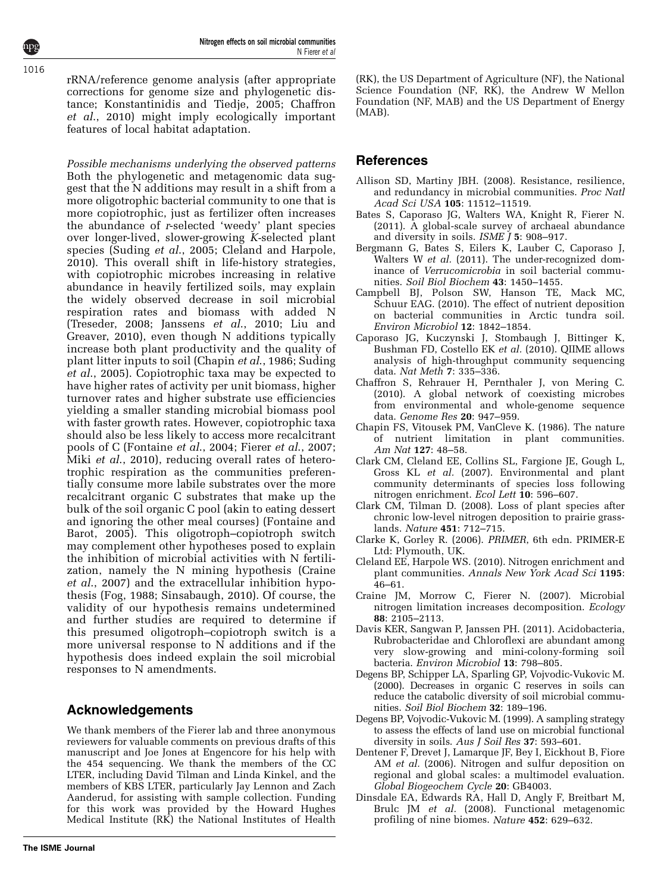<span id="page-9-0"></span>rRNA/reference genome analysis (after appropriate corrections for genome size and phylogenetic distance; [Konstantinidis and Tiedje, 2005;](#page-10-0) Chaffron et al., 2010) might imply ecologically important features of local habitat adaptation.

Possible mechanisms underlying the observed patterns Both the phylogenetic and metagenomic data suggest that the N additions may result in a shift from a more oligotrophic bacterial community to one that is more copiotrophic, just as fertilizer often increases the abundance of r-selected 'weedy' plant species over longer-lived, slower-growing  $K$ -selected plant species [\(Suding](#page-10-0) et al., 2005; Cleland and Harpole, 2010). This overall shift in life-history strategies, with copiotrophic microbes increasing in relative abundance in heavily fertilized soils, may explain the widely observed decrease in soil microbial respiration rates and biomass with added N ([Treseder, 2008](#page-10-0); [Janssens](#page-10-0) et al., 2010; [Liu and](#page-10-0) [Greaver, 2010\)](#page-10-0), even though N additions typically increase both plant productivity and the quality of plant litter inputs to soil (Chapin et al., 1986; [Suding](#page-10-0) et al[., 2005](#page-10-0)). Copiotrophic taxa may be expected to have higher rates of activity per unit biomass, higher turnover rates and higher substrate use efficiencies yielding a smaller standing microbial biomass pool with faster growth rates. However, copiotrophic taxa should also be less likely to access more recalcitrant pools of C [\(Fontaine](#page-10-0) et al., 2004; Fierer et al[., 2007;](#page-10-0) Miki et al[., 2010\)](#page-10-0), reducing overall rates of heterotrophic respiration as the communities preferentially consume more labile substrates over the more recalcitrant organic C substrates that make up the bulk of the soil organic C pool (akin to eating dessert and ignoring the other meal courses) [\(Fontaine and](#page-10-0) [Barot, 2005\)](#page-10-0). This oligotroph–copiotroph switch may complement other hypotheses posed to explain the inhibition of microbial activities with N fertilization, namely the N mining hypothesis (Craine et al., 2007) and the extracellular inhibition hypothesis ([Fog, 1988](#page-10-0); [Sinsabaugh, 2010](#page-10-0)). Of course, the validity of our hypothesis remains undetermined and further studies are required to determine if this presumed oligotroph–copiotroph switch is a more universal response to N additions and if the hypothesis does indeed explain the soil microbial responses to N amendments.

## Acknowledgements

We thank members of the Fierer lab and three anonymous reviewers for valuable comments on previous drafts of this manuscript and Joe Jones at Engencore for his help with the 454 sequencing. We thank the members of the CC LTER, including David Tilman and Linda Kinkel, and the members of KBS LTER, particularly Jay Lennon and Zach Aanderud, for assisting with sample collection. Funding for this work was provided by the Howard Hughes Medical Institute (RK) the National Institutes of Health

(RK), the US Department of Agriculture (NF), the National Science Foundation (NF, RK), the Andrew W Mellon Foundation (NF, MAB) and the US Department of Energy (MAB).

## References

- Allison SD, Martiny JBH. (2008). Resistance, resilience, and redundancy in microbial communities. Proc Natl Acad Sci USA 105: 11512–11519.
- Bates S, Caporaso JG, Walters WA, Knight R, Fierer N. (2011). A global-scale survey of archaeal abundance and diversity in soils. ISME J 5: 908–917.
- Bergmann G, Bates S, Eilers K, Lauber C, Caporaso J, Walters W et al. (2011). The under-recognized dominance of Verrucomicrobia in soil bacterial communities. Soil Biol Biochem 43: 1450–1455.
- Campbell BJ, Polson SW, Hanson TE, Mack MC, Schuur EAG. (2010). The effect of nutrient deposition on bacterial communities in Arctic tundra soil. Environ Microbiol 12: 1842–1854.
- Caporaso JG, Kuczynski J, Stombaugh J, Bittinger K, Bushman FD, Costello EK et al. (2010). QIIME allows analysis of high-throughput community sequencing data. Nat Meth 7: 335–336.
- Chaffron S, Rehrauer H, Pernthaler J, von Mering C. (2010). A global network of coexisting microbes from environmental and whole-genome sequence data. Genome Res 20: 947–959.
- Chapin FS, Vitousek PM, VanCleve K. (1986). The nature of nutrient limitation in plant communities. Am Nat 127: 48–58.
- Clark CM, Cleland EE, Collins SL, Fargione JE, Gough L, Gross KL et al. (2007). Environmental and plant community determinants of species loss following nitrogen enrichment. Ecol Lett 10: 596–607.
- Clark CM, Tilman D. (2008). Loss of plant species after chronic low-level nitrogen deposition to prairie grasslands. Nature 451: 712–715.
- Clarke K, Gorley R. (2006). PRIMER, 6th edn. PRIMER-E Ltd: Plymouth, UK.
- Cleland EE, Harpole WS. (2010). Nitrogen enrichment and plant communities. Annals New York Acad Sci 1195: 46–61.
- Craine JM, Morrow C, Fierer N. (2007). Microbial nitrogen limitation increases decomposition. Ecology 88: 2105–2113.
- Davis KER, Sangwan P, Janssen PH. (2011). Acidobacteria, Rubrobacteridae and Chloroflexi are abundant among very slow-growing and mini-colony-forming soil bacteria. Environ Microbiol 13: 798–805.
- Degens BP, Schipper LA, Sparling GP, Vojvodic-Vukovic M. (2000). Decreases in organic C reserves in soils can reduce the catabolic diversity of soil microbial communities. Soil Biol Biochem 32: 189–196.
- Degens BP, Vojvodic-Vukovic M. (1999). A sampling strategy to assess the effects of land use on microbial functional diversity in soils. Aus J Soil Res 37: 593-601.
- Dentener F, Drevet J, Lamarque JF, Bey I, Eickhout B, Fiore AM et al. (2006). Nitrogen and sulfur deposition on regional and global scales: a multimodel evaluation. Global Biogeochem Cycle 20: GB4003.
- Dinsdale EA, Edwards RA, Hall D, Angly F, Breitbart M, Brulc JM et al. (2008). Functional metagenomic profiling of nine biomes. Nature 452: 629–632.